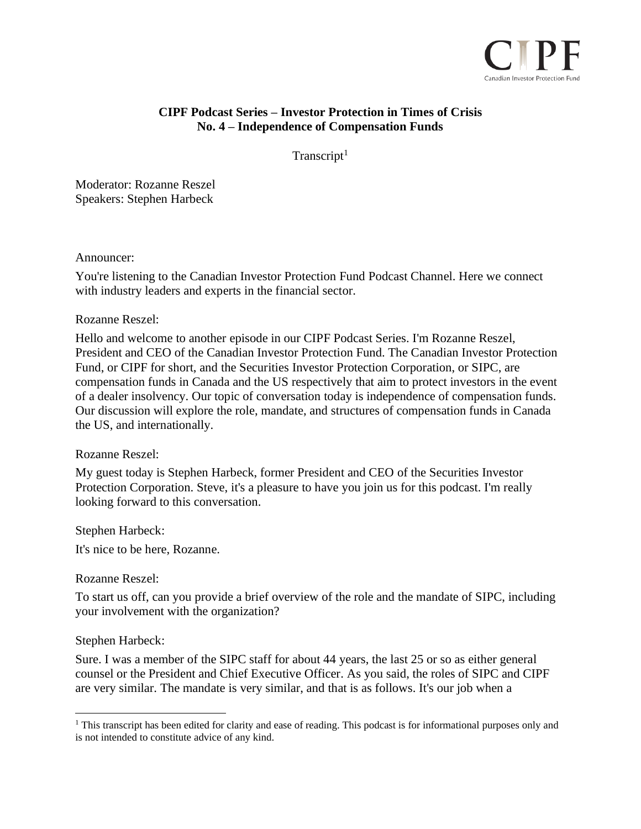

# **CIPF Podcast Series – Investor Protection in Times of Crisis No. 4 – Independence of Compensation Funds**

Transcript<sup>1</sup>

Moderator: Rozanne Reszel Speakers: Stephen Harbeck

#### Announcer:

You're listening to the Canadian Investor Protection Fund Podcast Channel. Here we connect with industry leaders and experts in the financial sector.

## Rozanne Reszel:

Hello and welcome to another episode in our CIPF Podcast Series. I'm Rozanne Reszel, President and CEO of the Canadian Investor Protection Fund. The Canadian Investor Protection Fund, or CIPF for short, and the Securities Investor Protection Corporation, or SIPC, are compensation funds in Canada and the US respectively that aim to protect investors in the event of a dealer insolvency. Our topic of conversation today is independence of compensation funds. Our discussion will explore the role, mandate, and structures of compensation funds in Canada the US, and internationally.

## Rozanne Reszel:

My guest today is Stephen Harbeck, former President and CEO of the Securities Investor Protection Corporation. Steve, it's a pleasure to have you join us for this podcast. I'm really looking forward to this conversation.

Stephen Harbeck:

It's nice to be here, Rozanne.

Rozanne Reszel:

To start us off, can you provide a brief overview of the role and the mandate of SIPC, including your involvement with the organization?

## Stephen Harbeck:

Sure. I was a member of the SIPC staff for about 44 years, the last 25 or so as either general counsel or the President and Chief Executive Officer. As you said, the roles of SIPC and CIPF are very similar. The mandate is very similar, and that is as follows. It's our job when a

<sup>&</sup>lt;sup>1</sup> This transcript has been edited for clarity and ease of reading. This podcast is for informational purposes only and is not intended to constitute advice of any kind.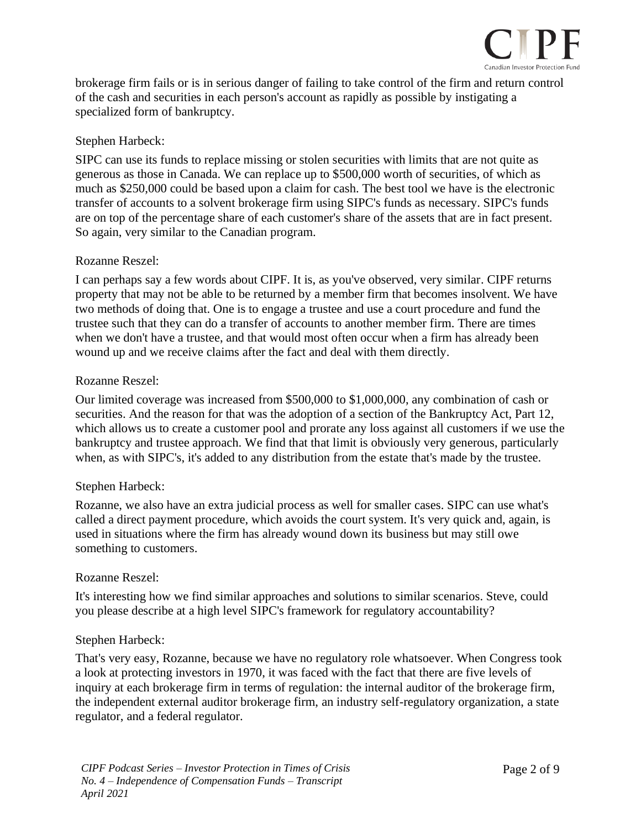

brokerage firm fails or is in serious danger of failing to take control of the firm and return control of the cash and securities in each person's account as rapidly as possible by instigating a specialized form of bankruptcy.

# Stephen Harbeck:

SIPC can use its funds to replace missing or stolen securities with limits that are not quite as generous as those in Canada. We can replace up to \$500,000 worth of securities, of which as much as \$250,000 could be based upon a claim for cash. The best tool we have is the electronic transfer of accounts to a solvent brokerage firm using SIPC's funds as necessary. SIPC's funds are on top of the percentage share of each customer's share of the assets that are in fact present. So again, very similar to the Canadian program.

# Rozanne Reszel:

I can perhaps say a few words about CIPF. It is, as you've observed, very similar. CIPF returns property that may not be able to be returned by a member firm that becomes insolvent. We have two methods of doing that. One is to engage a trustee and use a court procedure and fund the trustee such that they can do a transfer of accounts to another member firm. There are times when we don't have a trustee, and that would most often occur when a firm has already been wound up and we receive claims after the fact and deal with them directly.

# Rozanne Reszel:

Our limited coverage was increased from \$500,000 to \$1,000,000, any combination of cash or securities. And the reason for that was the adoption of a section of the Bankruptcy Act, Part 12, which allows us to create a customer pool and prorate any loss against all customers if we use the bankruptcy and trustee approach. We find that that limit is obviously very generous, particularly when, as with SIPC's, it's added to any distribution from the estate that's made by the trustee.

## Stephen Harbeck:

Rozanne, we also have an extra judicial process as well for smaller cases. SIPC can use what's called a direct payment procedure, which avoids the court system. It's very quick and, again, is used in situations where the firm has already wound down its business but may still owe something to customers.

## Rozanne Reszel:

It's interesting how we find similar approaches and solutions to similar scenarios. Steve, could you please describe at a high level SIPC's framework for regulatory accountability?

## Stephen Harbeck:

That's very easy, Rozanne, because we have no regulatory role whatsoever. When Congress took a look at protecting investors in 1970, it was faced with the fact that there are five levels of inquiry at each brokerage firm in terms of regulation: the internal auditor of the brokerage firm, the independent external auditor brokerage firm, an industry self-regulatory organization, a state regulator, and a federal regulator.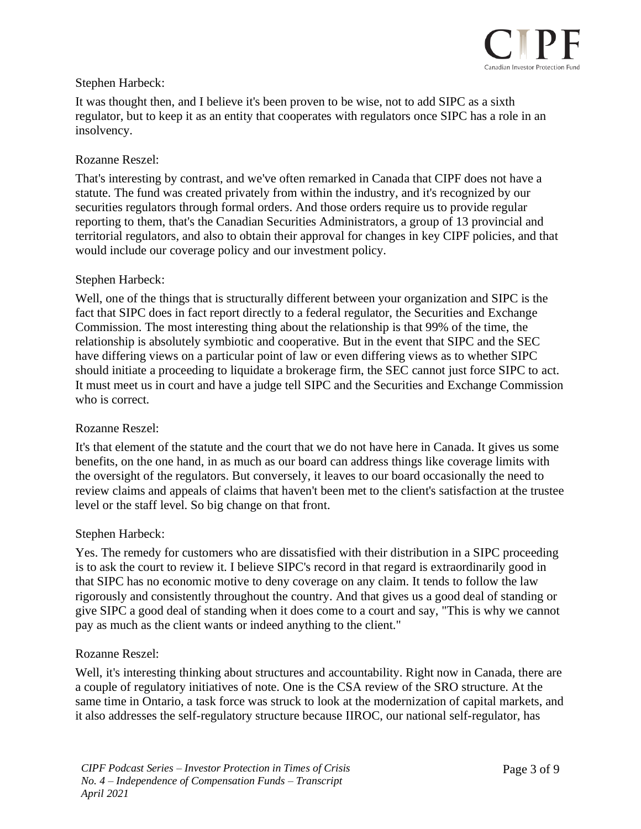

# Stephen Harbeck:

It was thought then, and I believe it's been proven to be wise, not to add SIPC as a sixth regulator, but to keep it as an entity that cooperates with regulators once SIPC has a role in an insolvency.

## Rozanne Reszel:

That's interesting by contrast, and we've often remarked in Canada that CIPF does not have a statute. The fund was created privately from within the industry, and it's recognized by our securities regulators through formal orders. And those orders require us to provide regular reporting to them, that's the Canadian Securities Administrators, a group of 13 provincial and territorial regulators, and also to obtain their approval for changes in key CIPF policies, and that would include our coverage policy and our investment policy.

## Stephen Harbeck:

Well, one of the things that is structurally different between your organization and SIPC is the fact that SIPC does in fact report directly to a federal regulator, the Securities and Exchange Commission. The most interesting thing about the relationship is that 99% of the time, the relationship is absolutely symbiotic and cooperative. But in the event that SIPC and the SEC have differing views on a particular point of law or even differing views as to whether SIPC should initiate a proceeding to liquidate a brokerage firm, the SEC cannot just force SIPC to act. It must meet us in court and have a judge tell SIPC and the Securities and Exchange Commission who is correct.

## Rozanne Reszel:

It's that element of the statute and the court that we do not have here in Canada. It gives us some benefits, on the one hand, in as much as our board can address things like coverage limits with the oversight of the regulators. But conversely, it leaves to our board occasionally the need to review claims and appeals of claims that haven't been met to the client's satisfaction at the trustee level or the staff level. So big change on that front.

## Stephen Harbeck:

Yes. The remedy for customers who are dissatisfied with their distribution in a SIPC proceeding is to ask the court to review it. I believe SIPC's record in that regard is extraordinarily good in that SIPC has no economic motive to deny coverage on any claim. It tends to follow the law rigorously and consistently throughout the country. And that gives us a good deal of standing or give SIPC a good deal of standing when it does come to a court and say, "This is why we cannot pay as much as the client wants or indeed anything to the client."

## Rozanne Reszel:

Well, it's interesting thinking about structures and accountability. Right now in Canada, there are a couple of regulatory initiatives of note. One is the CSA review of the SRO structure. At the same time in Ontario, a task force was struck to look at the modernization of capital markets, and it also addresses the self-regulatory structure because IIROC, our national self-regulator, has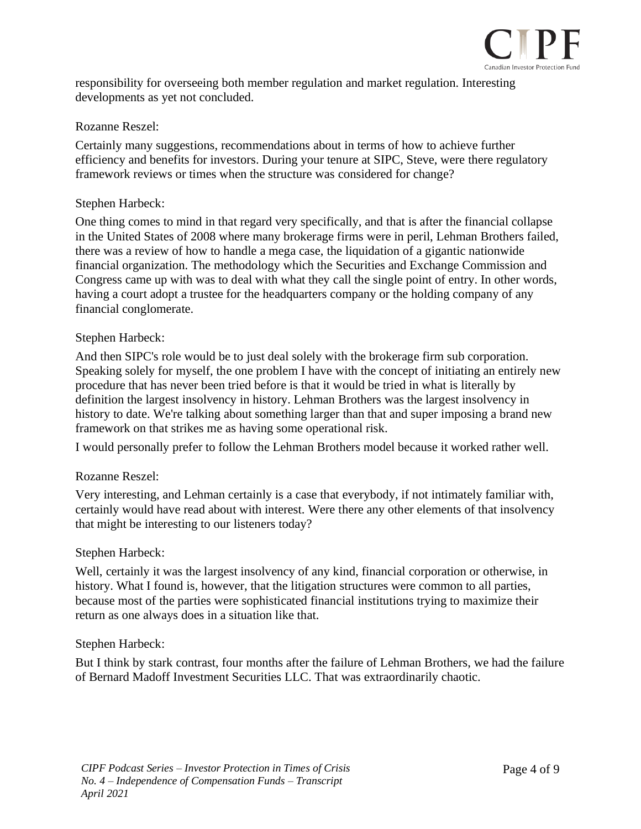

responsibility for overseeing both member regulation and market regulation. Interesting developments as yet not concluded.

# Rozanne Reszel:

Certainly many suggestions, recommendations about in terms of how to achieve further efficiency and benefits for investors. During your tenure at SIPC, Steve, were there regulatory framework reviews or times when the structure was considered for change?

## Stephen Harbeck:

One thing comes to mind in that regard very specifically, and that is after the financial collapse in the United States of 2008 where many brokerage firms were in peril, Lehman Brothers failed, there was a review of how to handle a mega case, the liquidation of a gigantic nationwide financial organization. The methodology which the Securities and Exchange Commission and Congress came up with was to deal with what they call the single point of entry. In other words, having a court adopt a trustee for the headquarters company or the holding company of any financial conglomerate.

## Stephen Harbeck:

And then SIPC's role would be to just deal solely with the brokerage firm sub corporation. Speaking solely for myself, the one problem I have with the concept of initiating an entirely new procedure that has never been tried before is that it would be tried in what is literally by definition the largest insolvency in history. Lehman Brothers was the largest insolvency in history to date. We're talking about something larger than that and super imposing a brand new framework on that strikes me as having some operational risk.

I would personally prefer to follow the Lehman Brothers model because it worked rather well.

## Rozanne Reszel:

Very interesting, and Lehman certainly is a case that everybody, if not intimately familiar with, certainly would have read about with interest. Were there any other elements of that insolvency that might be interesting to our listeners today?

## Stephen Harbeck:

Well, certainly it was the largest insolvency of any kind, financial corporation or otherwise, in history. What I found is, however, that the litigation structures were common to all parties, because most of the parties were sophisticated financial institutions trying to maximize their return as one always does in a situation like that.

## Stephen Harbeck:

But I think by stark contrast, four months after the failure of Lehman Brothers, we had the failure of Bernard Madoff Investment Securities LLC. That was extraordinarily chaotic.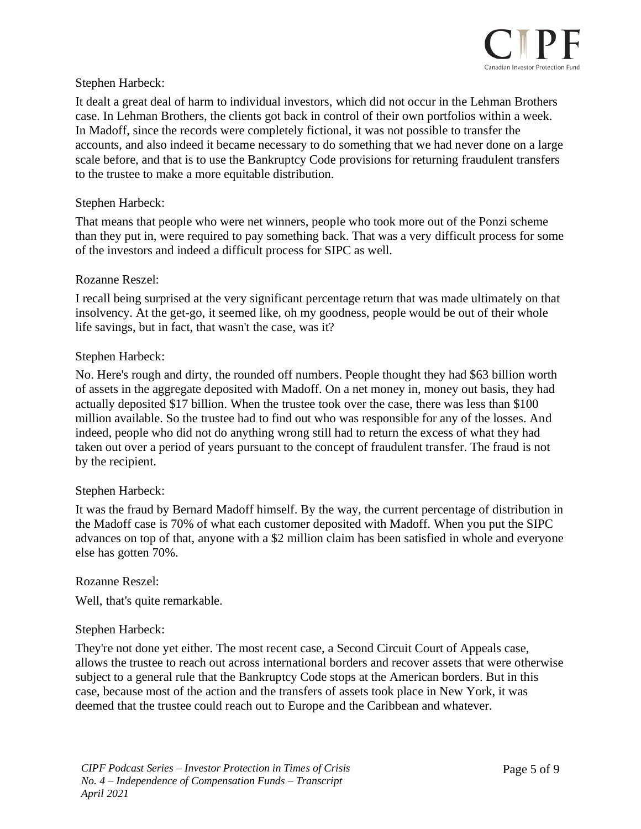

# Stephen Harbeck:

It dealt a great deal of harm to individual investors, which did not occur in the Lehman Brothers case. In Lehman Brothers, the clients got back in control of their own portfolios within a week. In Madoff, since the records were completely fictional, it was not possible to transfer the accounts, and also indeed it became necessary to do something that we had never done on a large scale before, and that is to use the Bankruptcy Code provisions for returning fraudulent transfers to the trustee to make a more equitable distribution.

## Stephen Harbeck:

That means that people who were net winners, people who took more out of the Ponzi scheme than they put in, were required to pay something back. That was a very difficult process for some of the investors and indeed a difficult process for SIPC as well.

#### Rozanne Reszel:

I recall being surprised at the very significant percentage return that was made ultimately on that insolvency. At the get-go, it seemed like, oh my goodness, people would be out of their whole life savings, but in fact, that wasn't the case, was it?

#### Stephen Harbeck:

No. Here's rough and dirty, the rounded off numbers. People thought they had \$63 billion worth of assets in the aggregate deposited with Madoff. On a net money in, money out basis, they had actually deposited \$17 billion. When the trustee took over the case, there was less than \$100 million available. So the trustee had to find out who was responsible for any of the losses. And indeed, people who did not do anything wrong still had to return the excess of what they had taken out over a period of years pursuant to the concept of fraudulent transfer. The fraud is not by the recipient.

## Stephen Harbeck:

It was the fraud by Bernard Madoff himself. By the way, the current percentage of distribution in the Madoff case is 70% of what each customer deposited with Madoff. When you put the SIPC advances on top of that, anyone with a \$2 million claim has been satisfied in whole and everyone else has gotten 70%.

#### Rozanne Reszel:

Well, that's quite remarkable.

## Stephen Harbeck:

They're not done yet either. The most recent case, a Second Circuit Court of Appeals case, allows the trustee to reach out across international borders and recover assets that were otherwise subject to a general rule that the Bankruptcy Code stops at the American borders. But in this case, because most of the action and the transfers of assets took place in New York, it was deemed that the trustee could reach out to Europe and the Caribbean and whatever.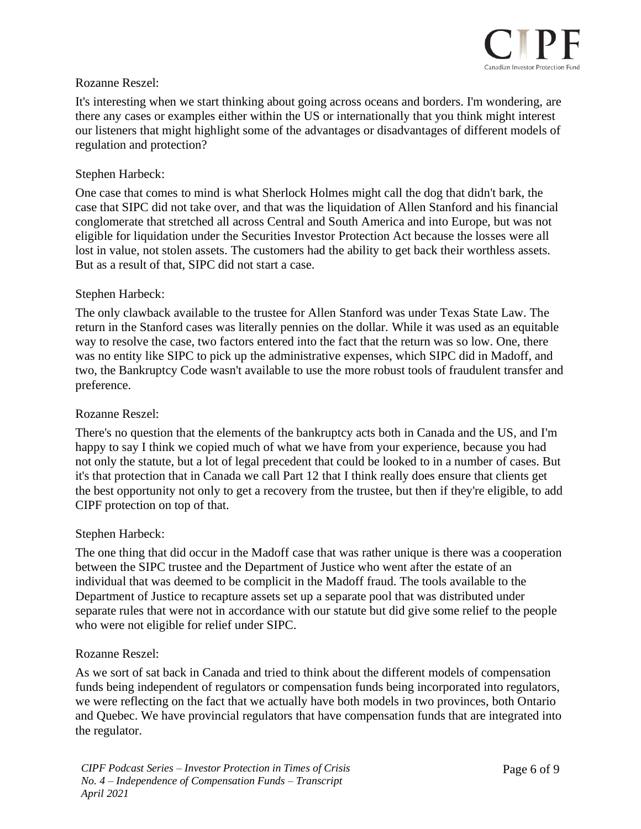

# Rozanne Reszel:

It's interesting when we start thinking about going across oceans and borders. I'm wondering, are there any cases or examples either within the US or internationally that you think might interest our listeners that might highlight some of the advantages or disadvantages of different models of regulation and protection?

# Stephen Harbeck:

One case that comes to mind is what Sherlock Holmes might call the dog that didn't bark, the case that SIPC did not take over, and that was the liquidation of Allen Stanford and his financial conglomerate that stretched all across Central and South America and into Europe, but was not eligible for liquidation under the Securities Investor Protection Act because the losses were all lost in value, not stolen assets. The customers had the ability to get back their worthless assets. But as a result of that, SIPC did not start a case.

## Stephen Harbeck:

The only clawback available to the trustee for Allen Stanford was under Texas State Law. The return in the Stanford cases was literally pennies on the dollar. While it was used as an equitable way to resolve the case, two factors entered into the fact that the return was so low. One, there was no entity like SIPC to pick up the administrative expenses, which SIPC did in Madoff, and two, the Bankruptcy Code wasn't available to use the more robust tools of fraudulent transfer and preference.

# Rozanne Reszel:

There's no question that the elements of the bankruptcy acts both in Canada and the US, and I'm happy to say I think we copied much of what we have from your experience, because you had not only the statute, but a lot of legal precedent that could be looked to in a number of cases. But it's that protection that in Canada we call Part 12 that I think really does ensure that clients get the best opportunity not only to get a recovery from the trustee, but then if they're eligible, to add CIPF protection on top of that.

## Stephen Harbeck:

The one thing that did occur in the Madoff case that was rather unique is there was a cooperation between the SIPC trustee and the Department of Justice who went after the estate of an individual that was deemed to be complicit in the Madoff fraud. The tools available to the Department of Justice to recapture assets set up a separate pool that was distributed under separate rules that were not in accordance with our statute but did give some relief to the people who were not eligible for relief under SIPC.

## Rozanne Reszel:

As we sort of sat back in Canada and tried to think about the different models of compensation funds being independent of regulators or compensation funds being incorporated into regulators, we were reflecting on the fact that we actually have both models in two provinces, both Ontario and Quebec. We have provincial regulators that have compensation funds that are integrated into the regulator.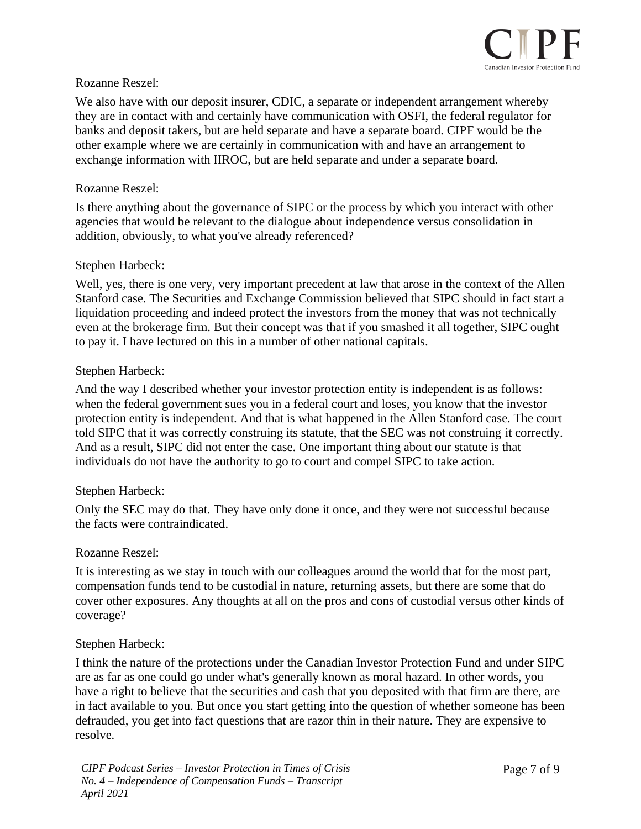

# Rozanne Reszel:

We also have with our deposit insurer, CDIC, a separate or independent arrangement whereby they are in contact with and certainly have communication with OSFI, the federal regulator for banks and deposit takers, but are held separate and have a separate board. CIPF would be the other example where we are certainly in communication with and have an arrangement to exchange information with IIROC, but are held separate and under a separate board.

#### Rozanne Reszel:

Is there anything about the governance of SIPC or the process by which you interact with other agencies that would be relevant to the dialogue about independence versus consolidation in addition, obviously, to what you've already referenced?

#### Stephen Harbeck:

Well, yes, there is one very, very important precedent at law that arose in the context of the Allen Stanford case. The Securities and Exchange Commission believed that SIPC should in fact start a liquidation proceeding and indeed protect the investors from the money that was not technically even at the brokerage firm. But their concept was that if you smashed it all together, SIPC ought to pay it. I have lectured on this in a number of other national capitals.

#### Stephen Harbeck:

And the way I described whether your investor protection entity is independent is as follows: when the federal government sues you in a federal court and loses, you know that the investor protection entity is independent. And that is what happened in the Allen Stanford case. The court told SIPC that it was correctly construing its statute, that the SEC was not construing it correctly. And as a result, SIPC did not enter the case. One important thing about our statute is that individuals do not have the authority to go to court and compel SIPC to take action.

## Stephen Harbeck:

Only the SEC may do that. They have only done it once, and they were not successful because the facts were contraindicated.

#### Rozanne Reszel:

It is interesting as we stay in touch with our colleagues around the world that for the most part, compensation funds tend to be custodial in nature, returning assets, but there are some that do cover other exposures. Any thoughts at all on the pros and cons of custodial versus other kinds of coverage?

## Stephen Harbeck:

I think the nature of the protections under the Canadian Investor Protection Fund and under SIPC are as far as one could go under what's generally known as moral hazard. In other words, you have a right to believe that the securities and cash that you deposited with that firm are there, are in fact available to you. But once you start getting into the question of whether someone has been defrauded, you get into fact questions that are razor thin in their nature. They are expensive to resolve.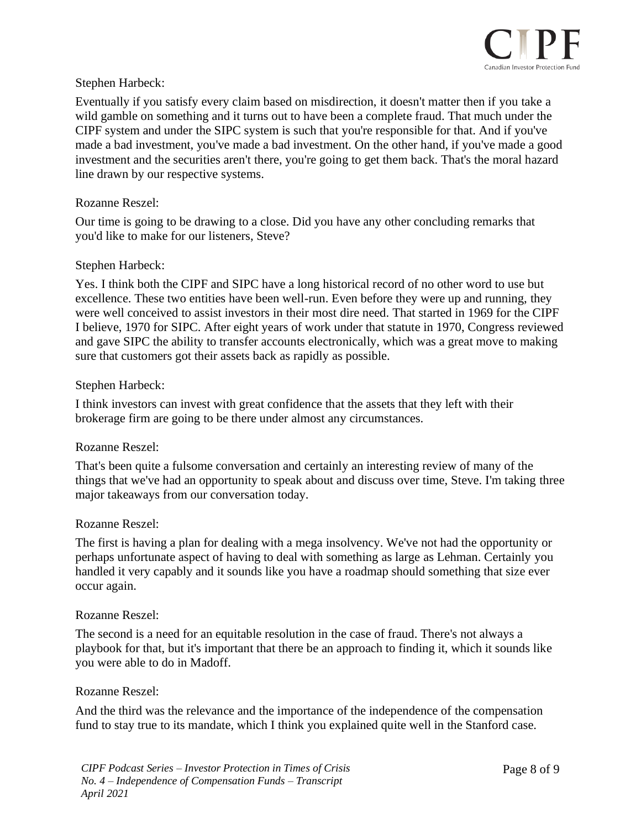

# Stephen Harbeck:

Eventually if you satisfy every claim based on misdirection, it doesn't matter then if you take a wild gamble on something and it turns out to have been a complete fraud. That much under the CIPF system and under the SIPC system is such that you're responsible for that. And if you've made a bad investment, you've made a bad investment. On the other hand, if you've made a good investment and the securities aren't there, you're going to get them back. That's the moral hazard line drawn by our respective systems.

#### Rozanne Reszel:

Our time is going to be drawing to a close. Did you have any other concluding remarks that you'd like to make for our listeners, Steve?

#### Stephen Harbeck:

Yes. I think both the CIPF and SIPC have a long historical record of no other word to use but excellence. These two entities have been well-run. Even before they were up and running, they were well conceived to assist investors in their most dire need. That started in 1969 for the CIPF I believe, 1970 for SIPC. After eight years of work under that statute in 1970, Congress reviewed and gave SIPC the ability to transfer accounts electronically, which was a great move to making sure that customers got their assets back as rapidly as possible.

#### Stephen Harbeck:

I think investors can invest with great confidence that the assets that they left with their brokerage firm are going to be there under almost any circumstances.

#### Rozanne Reszel:

That's been quite a fulsome conversation and certainly an interesting review of many of the things that we've had an opportunity to speak about and discuss over time, Steve. I'm taking three major takeaways from our conversation today.

#### Rozanne Reszel:

The first is having a plan for dealing with a mega insolvency. We've not had the opportunity or perhaps unfortunate aspect of having to deal with something as large as Lehman. Certainly you handled it very capably and it sounds like you have a roadmap should something that size ever occur again.

#### Rozanne Reszel:

The second is a need for an equitable resolution in the case of fraud. There's not always a playbook for that, but it's important that there be an approach to finding it, which it sounds like you were able to do in Madoff.

#### Rozanne Reszel:

And the third was the relevance and the importance of the independence of the compensation fund to stay true to its mandate, which I think you explained quite well in the Stanford case.